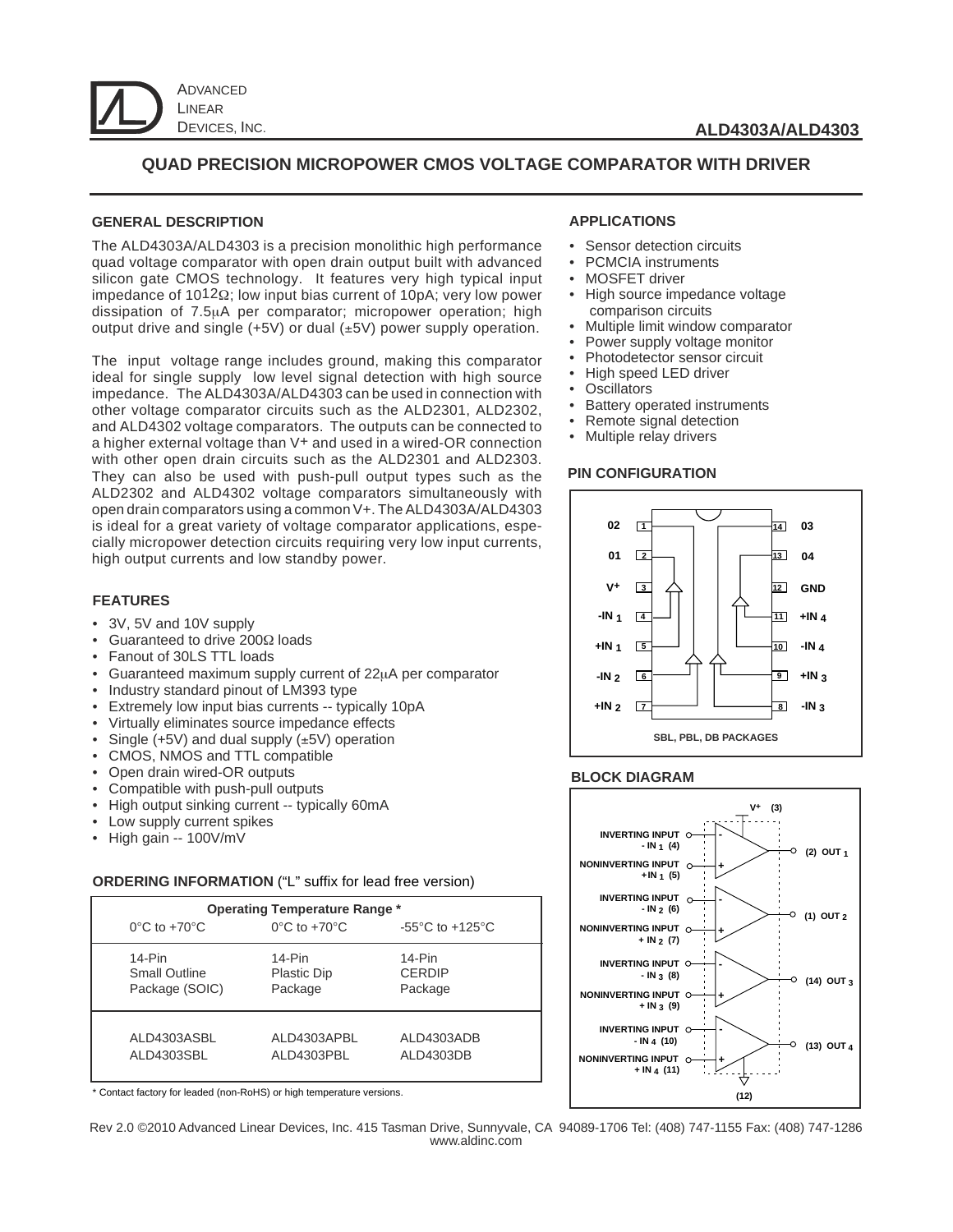

# **QUAD PRECISION MICROPOWER CMOS VOLTAGE COMPARATOR WITH DRIVER**

#### **GENERAL DESCRIPTION**

The ALD4303A/ALD4303 is a precision monolithic high performance quad voltage comparator with open drain output built with advanced silicon gate CMOS technology. It features very high typical input impedance of 1012Ω; low input bias current of 10pA; very low power dissipation of 7.5µA per comparator; micropower operation; high output drive and single  $(+5V)$  or dual  $(\pm 5V)$  power supply operation.

The input voltage range includes ground, making this comparator ideal for single supply low level signal detection with high source impedance. The ALD4303A/ALD4303 can be used in connection with other voltage comparator circuits such as the ALD2301, ALD2302, and ALD4302 voltage comparators. The outputs can be connected to a higher external voltage than V+ and used in a wired-OR connection with other open drain circuits such as the ALD2301 and ALD2303. They can also be used with push-pull output types such as the ALD2302 and ALD4302 voltage comparators simultaneously with open drain comparators using a common V+. The ALD4303A/ALD4303 is ideal for a great variety of voltage comparator applications, especially micropower detection circuits requiring very low input currents, high output currents and low standby power.

## **FEATURES**

- 3V, 5V and 10V supply
- Guaranteed to drive 200Ω loads
- Fanout of 30LS TTL loads
- Guaranteed maximum supply current of 22µA per comparator
- Industry standard pinout of LM393 type
- Extremely low input bias currents -- typically 10pA
- Virtually eliminates source impedance effects
- Single  $(+5V)$  and dual supply  $(\pm 5V)$  operation
- CMOS, NMOS and TTL compatible
- Open drain wired-OR outputs
- Compatible with push-pull outputs
- High output sinking current -- typically 60mA
- Low supply current spikes
- High gain -- 100V/mV

#### **ORDERING INFORMATION** ("L" suffix for lead free version)

| <b>Operating Temperature Range *</b> |                                   |                                       |  |  |  |
|--------------------------------------|-----------------------------------|---------------------------------------|--|--|--|
| $0^{\circ}$ C to +70 $^{\circ}$ C    | $0^{\circ}$ C to +70 $^{\circ}$ C | -55 $^{\circ}$ C to +125 $^{\circ}$ C |  |  |  |
| $14-Pin$                             | 14-Pin                            | $14-Pin$                              |  |  |  |
| <b>Small Outline</b>                 | <b>Plastic Dip</b>                | <b>CERDIP</b>                         |  |  |  |
| Package (SOIC)                       | Package                           | Package                               |  |  |  |
| ALD4303ASBL                          | ALD4303APBL                       | ALD4303ADB                            |  |  |  |
| ALD4303SBL                           | ALD4303PBL                        | ALD4303DB                             |  |  |  |

\* Contact factory for leaded (non-RoHS) or high temperature versions.

#### Rev 2.0 ©2010 Advanced Linear Devices, Inc. 415 Tasman Drive, Sunnyvale, CA 94089-1706 Tel: (408) 747-1155 Fax: (408) 747-1286 www.aldinc.com

#### **APPLICATIONS**

- Sensor detection circuits
- PCMCIA instruments
- MOSFET driver
- High source impedance voltage comparison circuits
- Multiple limit window comparator
- Power supply voltage monitor
- Photodetector sensor circuit
- High speed LED driver
- **Oscillators**
- Battery operated instruments
- Remote signal detection
- Multiple relay drivers

#### **PIN CONFIGURATION**



#### **BLOCK DIAGRAM**

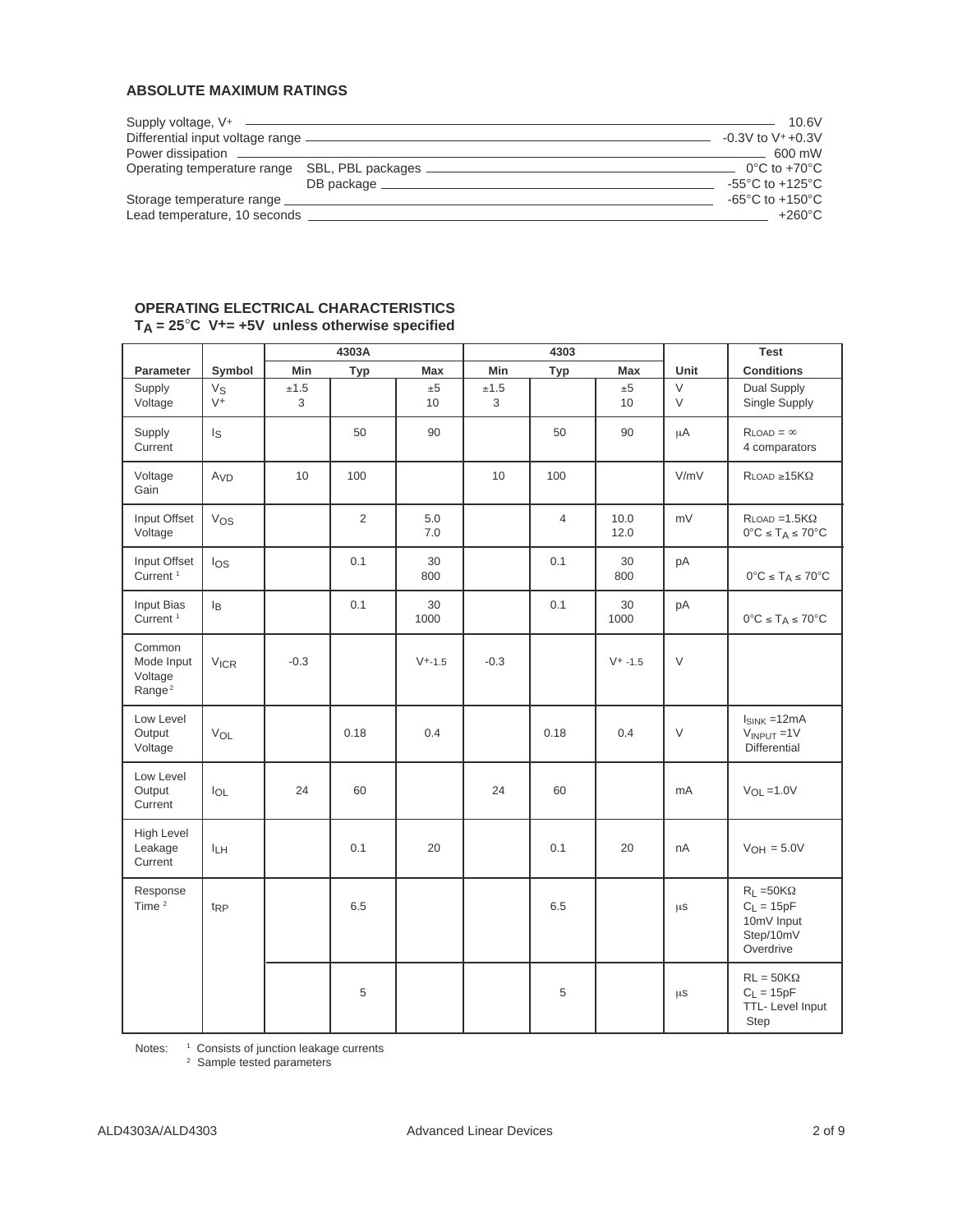## **ABSOLUTE MAXIMUM RATINGS**

|                              |                                                                                  | 10.6V                                 |
|------------------------------|----------------------------------------------------------------------------------|---------------------------------------|
|                              |                                                                                  | $-0.3V$ to V $+0.3V$                  |
|                              |                                                                                  | 600 mW                                |
|                              | Operating temperature range SBL, PBL packages __________________________________ | $0^{\circ}$ C to +70 $^{\circ}$ C     |
|                              |                                                                                  | -55 $^{\circ}$ C to +125 $^{\circ}$ C |
| Storage temperature range    |                                                                                  | -65 $^{\circ}$ C to +150 $^{\circ}$ C |
| Lead temperature, 10 seconds |                                                                                  | $+260^{\circ}$ C                      |

## **OPERATING ELECTRICAL CHARACTERISTICS TA = 25**°**C V+= +5V unless otherwise specified**

|                                                       |                        |                | 4303A          |             |           | 4303           |                |             | <b>Test</b>                                                                  |
|-------------------------------------------------------|------------------------|----------------|----------------|-------------|-----------|----------------|----------------|-------------|------------------------------------------------------------------------------|
| Parameter                                             | Symbol                 | Min            | Typ            | <b>Max</b>  | Min       | <b>Typ</b>     | <b>Max</b>     | Unit        | <b>Conditions</b>                                                            |
| Supply<br>Voltage                                     | Vs<br>$V^+$            | $\pm 1.5$<br>3 |                | ±5<br>10    | ±1.5<br>3 |                | ±5<br>10       | $\vee$<br>V | Dual Supply<br>Single Supply                                                 |
| Supply<br>Current                                     | $I_{\mathbb S}$        |                | 50             | 90          |           | 50             | 90             | $\mu$ A     | $R$ LOAD = $\infty$<br>4 comparators                                         |
| Voltage<br>Gain                                       | A <sub>VD</sub>        | 10             | 100            |             | 10        | 100            |                | V/mV        | $R$ load $\geq 15K\Omega$                                                    |
| Input Offset<br>Voltage                               | Vos                    |                | $\overline{2}$ | 5.0<br>7.0  |           | $\overline{4}$ | 10.0<br>12.0   | mV          | $R$ LOAD = 1.5 $K\Omega$<br>$0^{\circ}C \leq T_A \leq 70^{\circ}C$           |
| Input Offset<br>Current <sup>1</sup>                  | $\log$                 |                | 0.1            | 30<br>800   |           | 0.1            | 30<br>800      | рA          | $0^{\circ}\textrm{C} \leq \textrm{T}_{\textrm{A}} \leq 70^{\circ}\textrm{C}$ |
| Input Bias<br>Current <sup>1</sup>                    | lB                     |                | 0.1            | 30<br>1000  |           | 0.1            | $30\,$<br>1000 | pA          | $0^{\circ}C \leq T_A \leq 70^{\circ}C$                                       |
| Common<br>Mode Input<br>Voltage<br>Range <sup>2</sup> | <b>V<sub>ICR</sub></b> | $-0.3$         |                | $V^{+.1.5}$ | $-0.3$    |                | $V+ -1.5$      | $\vee$      |                                                                              |
| Low Level<br>Output<br>Voltage                        | VOL                    |                | 0.18           | 0.4         |           | 0.18           | 0.4            | V           | $I_{SINK} = 12mA$<br>$V_{INPUT} = 1V$<br>Differential                        |
| Low Level<br>Output<br>Current                        | $I_{OL}$               | 24             | 60             |             | 24        | 60             |                | mA          | $V_{OL} = 1.0V$                                                              |
| High Level<br>Leakage<br>Current                      | I <sub>LH</sub>        |                | 0.1            | 20          |           | 0.1            | 20             | nA          | $V_{OH} = 5.0V$                                                              |
| Response<br>Time <sup>2</sup>                         | t <sub>RP</sub>        |                | 6.5            |             |           | 6.5            |                | μs          | $R_L = 50K\Omega$<br>$C_L = 15pF$<br>10mV Input<br>Step/10mV<br>Overdrive    |
|                                                       |                        |                | 5              |             |           | 5              |                | μs          | $RL = 50K\Omega$<br>$C_L = 15pF$<br>TTL- Level Input<br>Step                 |

Notes: <sup>1</sup> Consists of junction leakage currents

<sup>2</sup> Sample tested parameters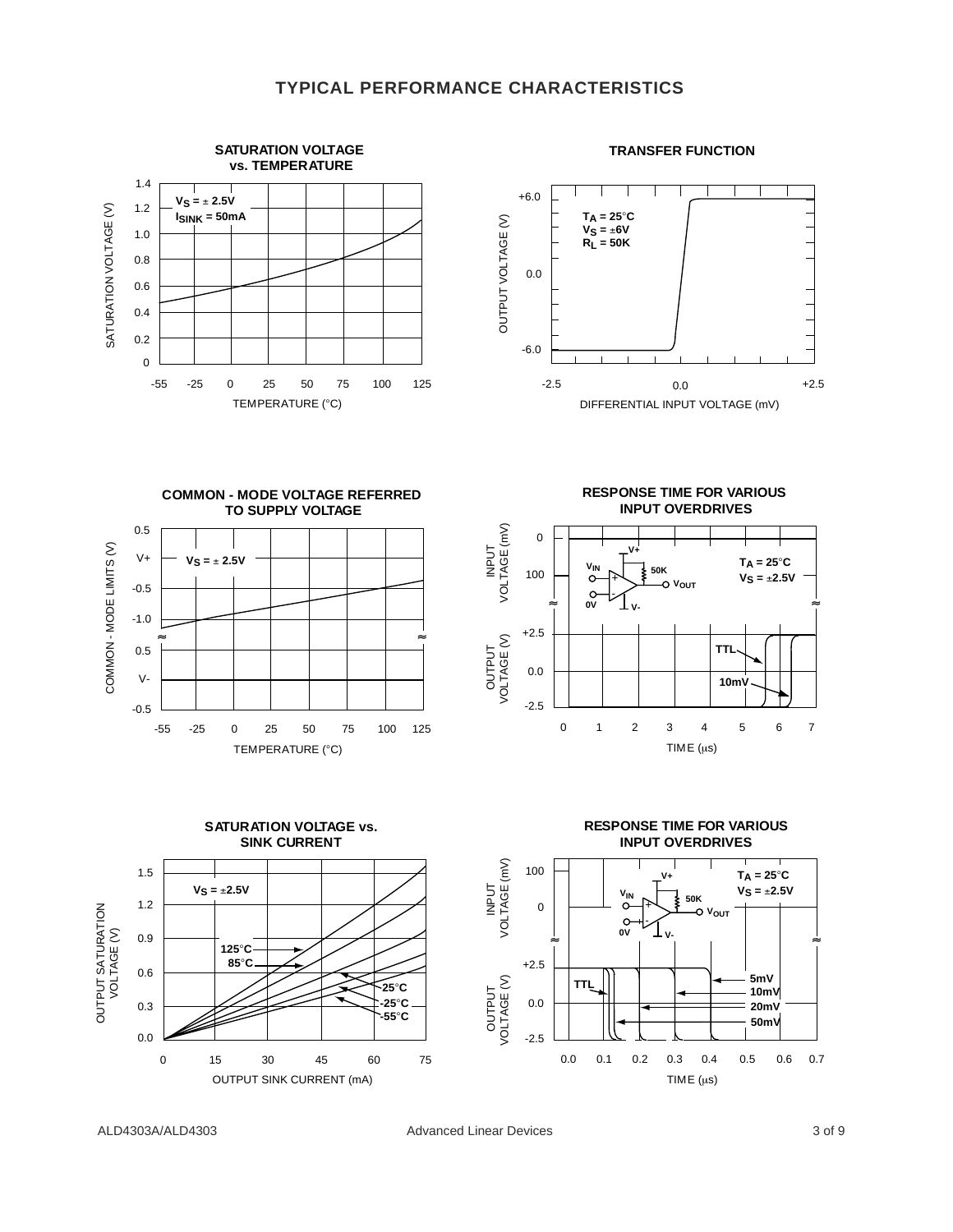## **TYPICAL PERFORMANCE CHARACTERISTICS**

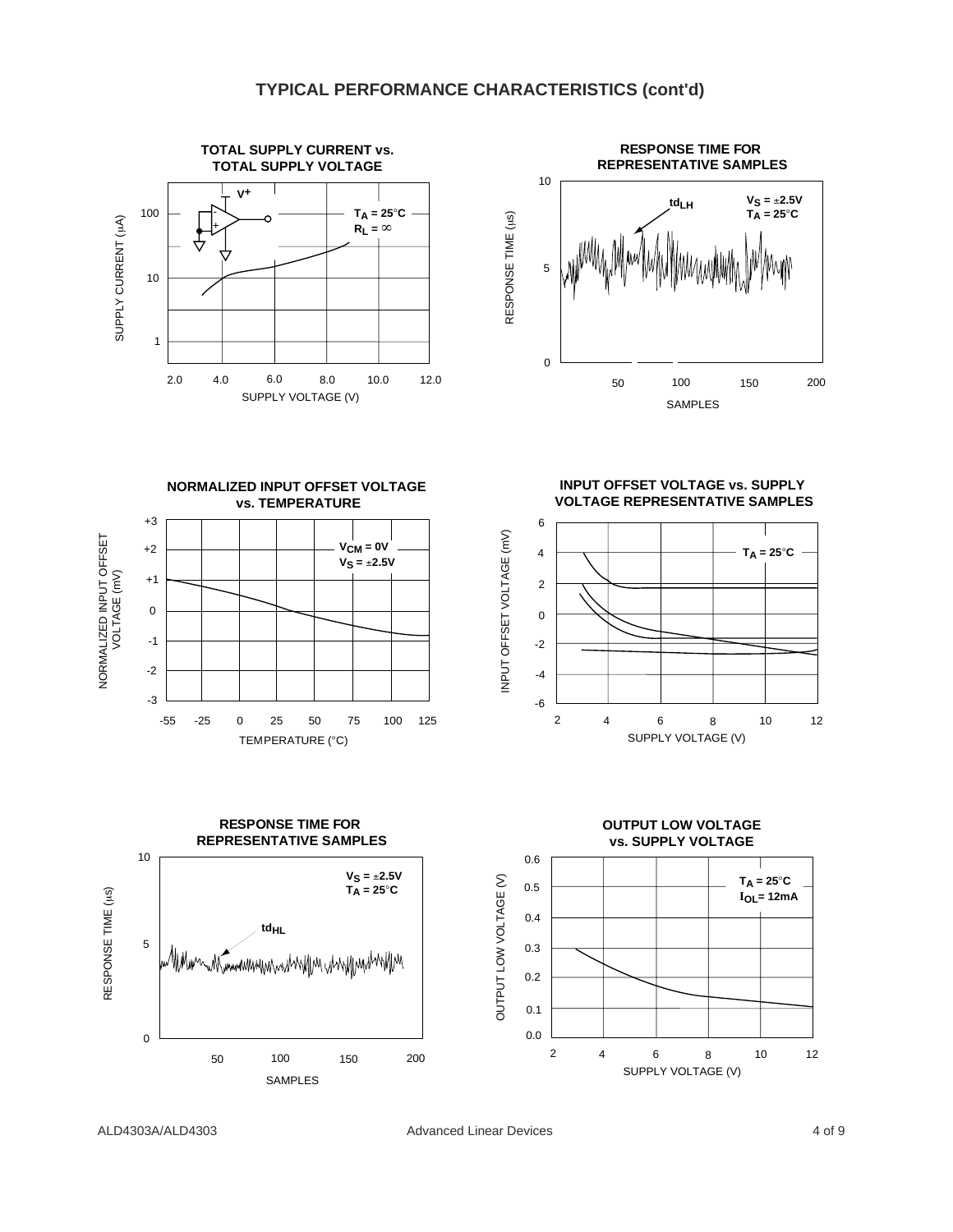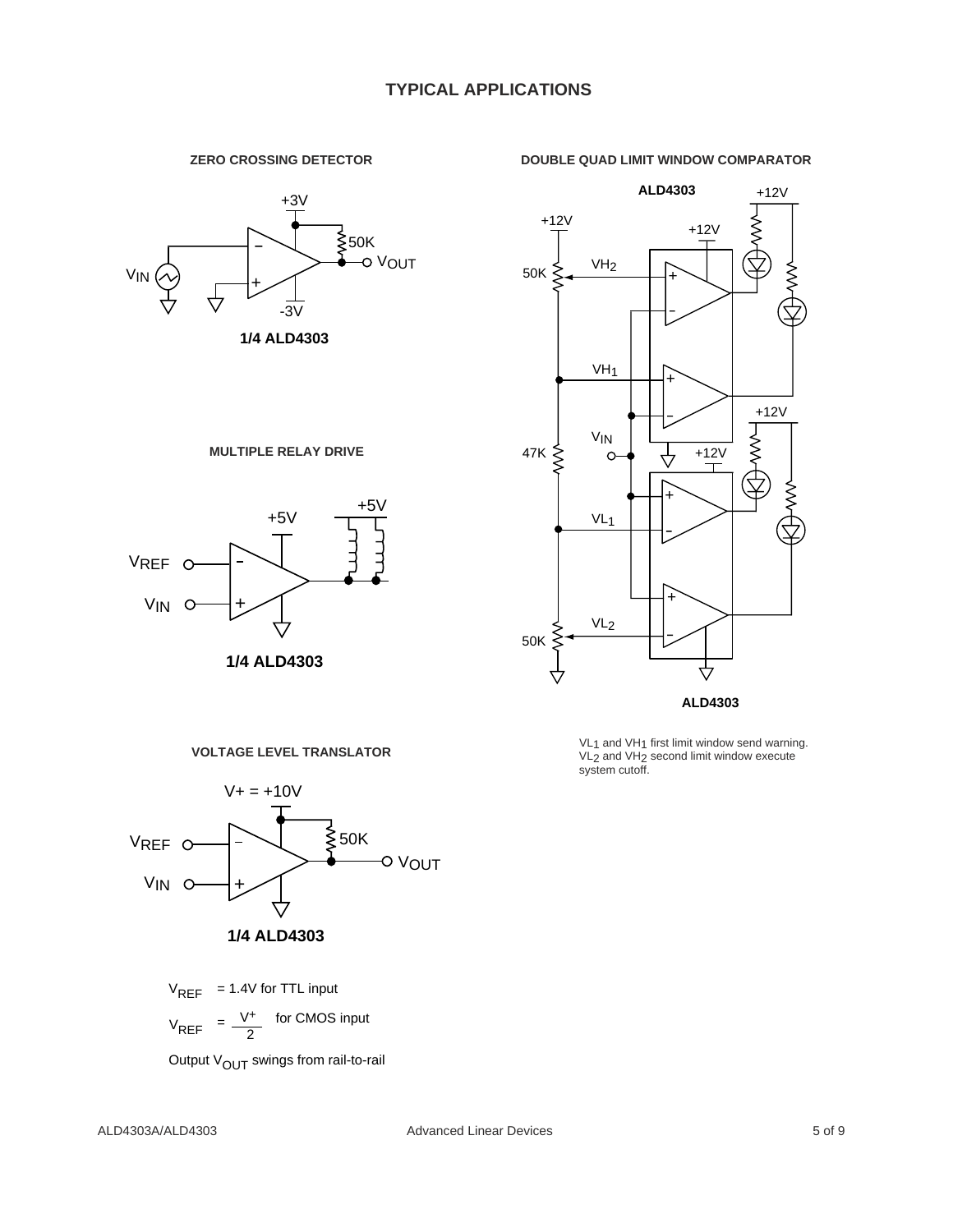#### **DOUBLE QUAD LIMIT WINDOW COMPARATOR**



**ZERO CROSSING DETECTOR**

**MULTIPLE RELAY DRIVE**



**1/4 ALD4303**



VL<sub>1</sub> and VH<sub>1</sub> first limit window send warning. VL2 and VH2 second limit window execute system cutoff.



**VOLTAGE LEVEL TRANSLATOR**

V<sub>REF</sub> = 1.4V for TTL input

 $V_{REF} = \frac{V^+}{2}$  for CMOS input

Output  $V_{\text{OUT}}$  swings from rail-to-rail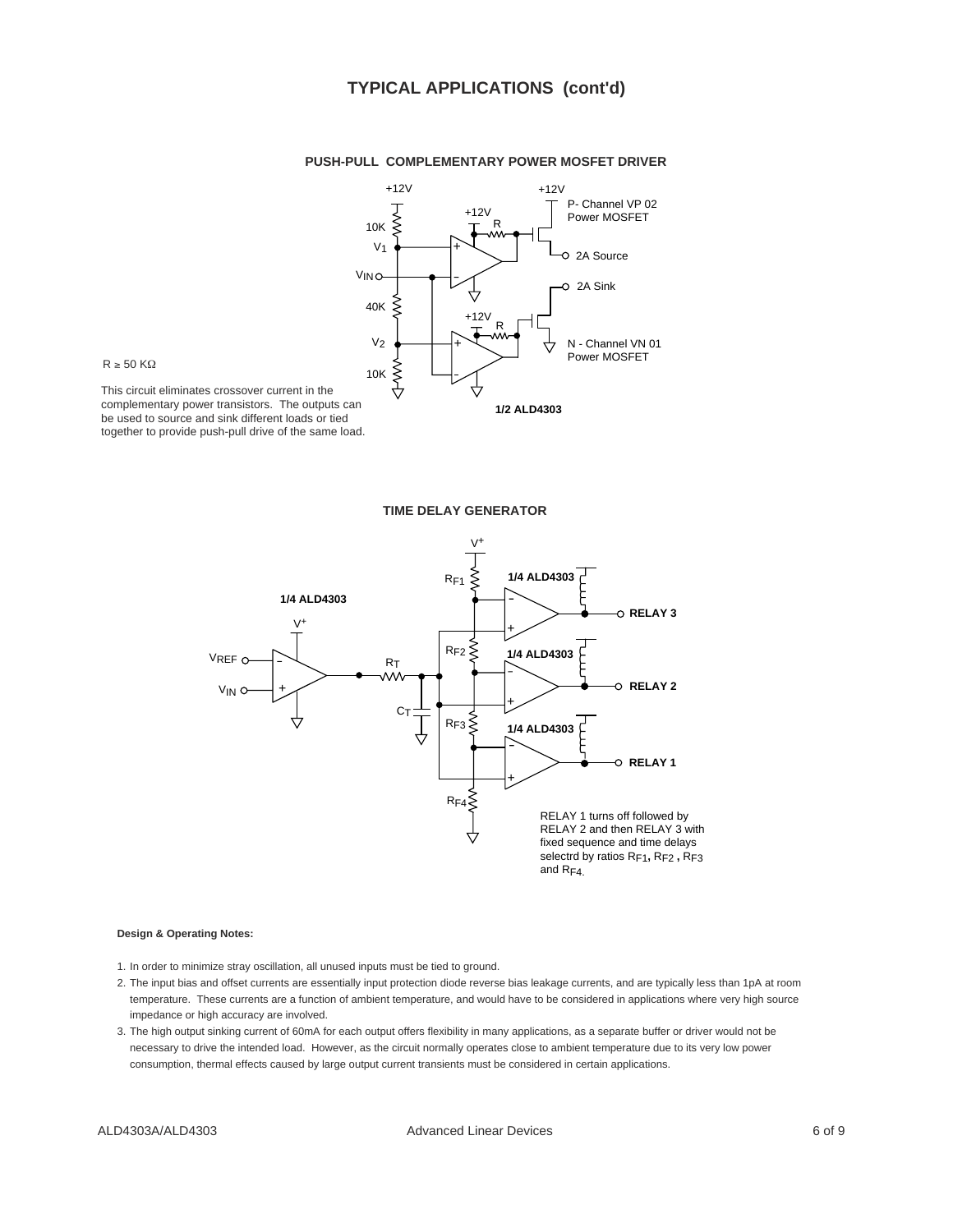# **TYPICAL APPLICATIONS (cont'd)**



#### **PUSH-PULL COMPLEMENTARY POWER MOSFET DRIVER**



This circuit eliminates crossover current in the complementary power transistors. The outputs can be used to source and sink different loads or tied together to provide push-pull drive of the same load.

#### **TIME DELAY GENERATOR**



#### **Design & Operating Notes:**

- 1. In order to minimize stray oscillation, all unused inputs must be tied to ground.
- 2. The input bias and offset currents are essentially input protection diode reverse bias leakage currents, and are typically less than 1pA at room temperature. These currents are a function of ambient temperature, and would have to be considered in applications where very high source impedance or high accuracy are involved.
- 3. The high output sinking current of 60mA for each output offers flexibility in many applications, as a separate buffer or driver would not be necessary to drive the intended load. However, as the circuit normally operates close to ambient temperature due to its very low power consumption, thermal effects caused by large output current transients must be considered in certain applications.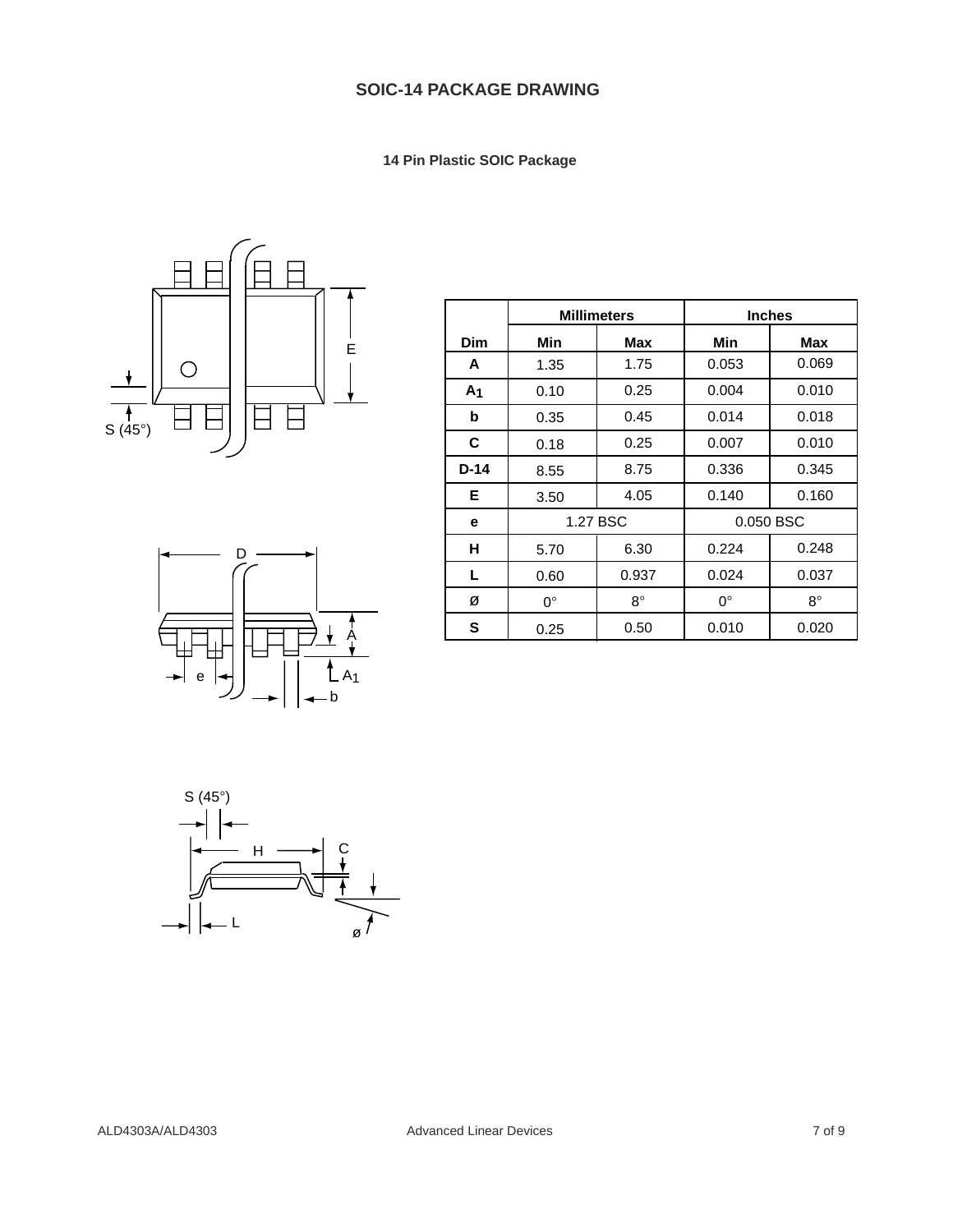# **SOIC-14 PACKAGE DRAWING**

 **14 Pin Plastic SOIC Package**





|                |          | <b>Millimeters</b> | <b>Inches</b> |             |  |
|----------------|----------|--------------------|---------------|-------------|--|
| Dim            | Min      | Max                | Min           | Max         |  |
| A              | 1.35     | 1.75               | 0.053         | 0.069       |  |
| A <sub>1</sub> | 0.10     | 0.25               | 0.004         | 0.010       |  |
| b              | 0.35     | 0.45               | 0.014         | 0.018       |  |
| C              | 0.18     | 0.25               | 0.007         | 0.010       |  |
| $D-14$         | 8.55     | 8.75               | 0.336         | 0.345       |  |
| Е              | 3.50     | 4.05               | 0.140         | 0.160       |  |
| е              | 1.27 BSC |                    | 0.050 BSC     |             |  |
| н              | 5.70     | 6.30               | 0.224         | 0.248       |  |
| L              | 0.60     | 0.937              | 0.024         | 0.037       |  |
| Ø              | 0°       | $8^\circ$          | $0^{\circ}$   | $8^{\circ}$ |  |
| S              | 0.25     | 0.50               | 0.010         | 0.020       |  |

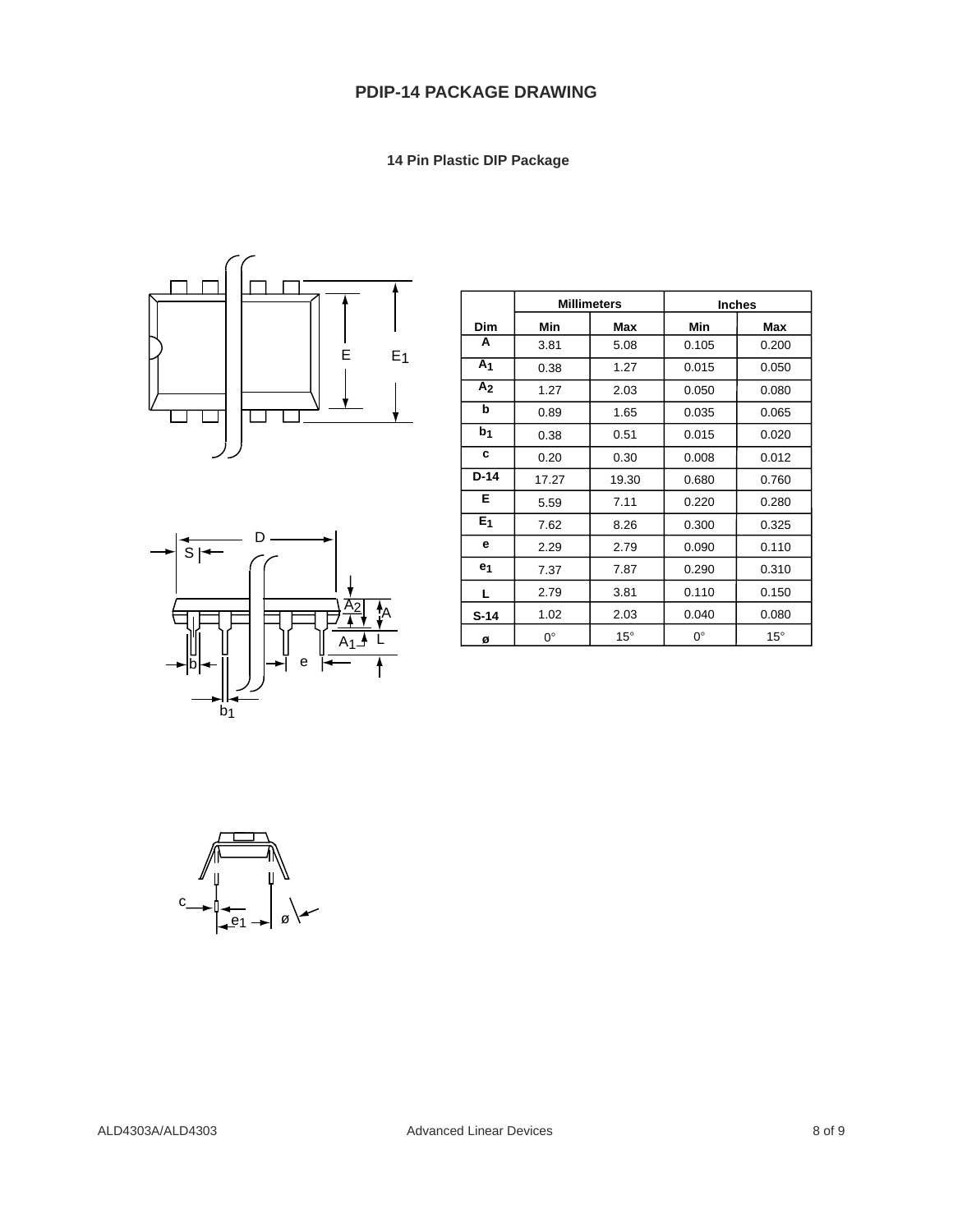# **PDIP-14 PACKAGE DRAWING**

 **14 Pin Plastic DIP Package**





|                |             | <b>Millimeters</b> | <b>Inches</b> |              |  |
|----------------|-------------|--------------------|---------------|--------------|--|
| Dim            | Min         | Max                | Min           | Max          |  |
| A              | 3.81        | 5.08               | 0.105         | 0.200        |  |
| A <sub>1</sub> | 0.38        | 1.27               | 0.015         | 0.050        |  |
| A <sub>2</sub> | 1.27        | 2.03               | 0.050         | 0.080        |  |
| b              | 0.89        | 1.65               | 0.035         | 0.065        |  |
| b <sub>1</sub> | 0.38        | 0.51               | 0.015         | 0.020        |  |
| C              | 0.20        | 0.30               | 0.008         | 0.012        |  |
| $D-14$         | 17.27       | 19.30              | 0.680         | 0.760        |  |
| Е              | 5.59        | 7.11               | 0.220         | 0.280        |  |
| E <sub>1</sub> | 7.62        | 8.26               | 0.300         | 0.325        |  |
| е              | 2.29        | 2.79               | 0.090         | 0.110        |  |
| e <sub>1</sub> | 7.37        | 7.87               | 0.290         | 0.310        |  |
| L              | 2.79        | 3.81               | 0.110         | 0.150        |  |
| $S-14$         | 1.02        | 2.03               | 0.040         | 0.080        |  |
| Ø              | $0^{\circ}$ | $15^{\circ}$       | $0^{\circ}$   | $15^{\circ}$ |  |